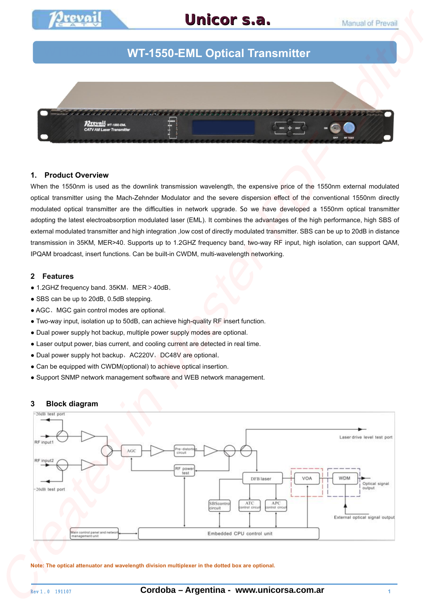

# WT1550-EML 光发射机 **WT-1550-EML Optical Transmitter**

**Unicor s.a.**



#### **1. Product Overview**

When the 1550nm is used as the downlink transmission wavelength, the expensive price of the 1550nm external modulated optical transmitter using the Mach-Zehnder Modulator and the severe dispersion effect of the conventional 1550nm directly modulated optical transmitter are the difficulties in network upgrade. So we have developed a 1550nm optical transmitter adopting the latest electroabsorption modulated laser (EML). It combines the advantages of the high performance, high SBS of external modulated transmitter and high integration ,low cost of directly modulated transmitter. SBS can be up to 20dB in distance transmission in 35KM, MER>40. Supports up to 1.2GHZ frequency band, two-way RF input, high isolation, can support QAM, IPQAM broadcast, insert functions. Can be built-in CWDM, multi-wavelength networking.

#### **2 Features**

- $\bullet$  1.2GHZ frequency band. 35KM, MER > 40dB.
- SBS can be up to 20dB, 0.5dB stepping.
- AGC、MGC gain control modes are optional.
- Two-way input, isolation up to 50dB, can achieve high-quality RF insert function.
- Dual power supply hot backup, multiple power supply modes are optional.
- Laser output power, bias current, and cooling current are detected in real time.
- Dual power supply hot backup, AC220V, DC48V are optional.
- Can be equipped with CWDM(optional) to achieve optical insertion.
- Support SNMP network management software and WEB network management.

#### **3 Block diagram**



**Note: The optical attenuator and wavelength division multiplexer in the dotted box are optional.**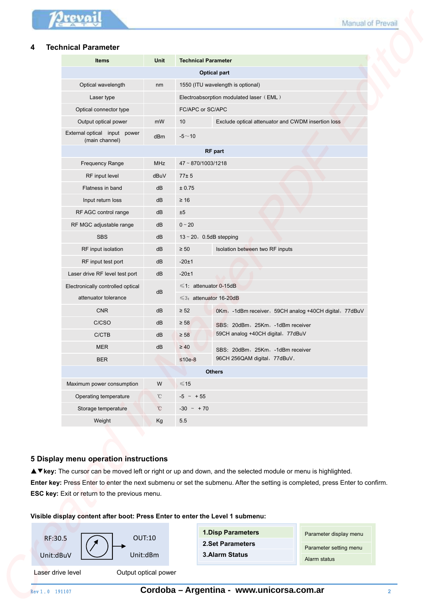# **4 Technical Parameter**

| <b>Technical Parameter</b>                     |                 |                            |                                                        |
|------------------------------------------------|-----------------|----------------------------|--------------------------------------------------------|
| <b>Items</b>                                   | Unit            | <b>Technical Parameter</b> |                                                        |
|                                                |                 |                            | <b>Optical part</b>                                    |
| Optical wavelength                             | nm              |                            | 1550 (ITU wavelength is optional)                      |
| Laser type                                     |                 |                            | Electroabsorption modulated laser (EML)                |
| Optical connector type                         |                 | FC/APC or SC/APC           |                                                        |
| Output optical power                           | mW              | 10                         | Exclude optical attenuator and CWDM insertion loss     |
| External optical input power<br>(main channel) | dBm             | $-5 - 10$                  |                                                        |
|                                                |                 |                            | <b>RF</b> part                                         |
| Frequency Range                                | <b>MHz</b>      | 47~870/1003/1218           |                                                        |
| RF input level                                 | dBuV            | 77±5                       |                                                        |
| Flatness in band                               | dB              | ± 0.75                     |                                                        |
| Input return loss                              | dB              | $\geq 16$                  |                                                        |
| RF AGC control range                           | dB              | ±5                         |                                                        |
| RF MGC adjustable range                        | dB              | $0 - 20$                   |                                                        |
| <b>SBS</b>                                     | dB              |                            | $13 \sim 20$ , 0.5dB stepping                          |
| RF input isolation                             | dB              | $\geq 50$                  | Isolation between two RF inputs                        |
| RF input test port                             | dB              | $-20±1$                    |                                                        |
| Laser drive RF level test port                 | dB              | $-20±1$                    |                                                        |
| Electronically controlled optical              | dB              |                            | $\leq 1$ : attenuator 0-15dB                           |
| attenuator tolerance                           |                 |                            | $\leq$ 3: attenuator 16-20dB                           |
| <b>CNR</b>                                     | dB              | $\geq 52$                  | 0Km, -1dBm receiver, 59CH analog +40CH digital, 77dBuV |
| C/CSO                                          | dB              | $\geq 58$                  | SBS: 20dBm, 25Km, -1dBm receiver                       |
| C/CTB                                          | dB              | $\geq 58$                  | 59CH analog +40CH digital, 77dBuV                      |
| <b>MER</b>                                     | dB              | $\geq 40$                  | SBS: 20dBm, 25Km, -1dBm receiver                       |
| <b>BER</b>                                     |                 | $≤10e-8$                   | 96CH 256QAM digital, 77dBuV.                           |
|                                                |                 |                            | <b>Others</b>                                          |
| Maximum power consumption                      | W               | $\leq 15$                  |                                                        |
| Operating temperature                          | °C              | $-5$ ~ +55                 |                                                        |
| Storage temperature                            | $\rm ^{\circ}C$ | $-30 \sim +70$             |                                                        |
| Weight                                         | Kg              | 5.5                        |                                                        |

# **5 Display menu operation instructions**

# **Visible display content after boot: Press Enter to enter the Level 1 submenu:**

| RF:30.5 |  |  |
|---------|--|--|
|         |  |  |

Laser drive level **Cultum** Output optical power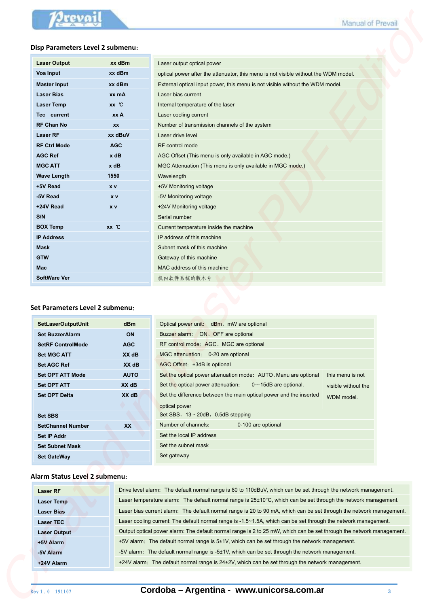#### **Disp Parameters Level 2 submenu**:

| <b>Laser Output</b> | xx dBm     | Laser output optical power        |
|---------------------|------------|-----------------------------------|
| Voa Input           | xx dBm     | optical power after the attent    |
| <b>Master Input</b> | xx dBm     | External optical input power,     |
| <b>Laser Bias</b>   | xx mA      | Laser bias current                |
| <b>Laser Temp</b>   | xx C       | Internal temperature of the la    |
| Tec current         | xx A       | Laser cooling current             |
| <b>RF Chan No</b>   | <b>XX</b>  | Number of transmission cha        |
| <b>Laser RF</b>     | xx dBuV    | Laser drive level                 |
| <b>RF Ctrl Mode</b> | <b>AGC</b> | RF control mode                   |
| <b>AGC Ref</b>      | $x$ dB     | AGC Offset (This menu is or       |
| <b>MGC ATT</b>      | $x$ dB     | <b>MGC Attenuation (This ment</b> |
| <b>Wave Length</b>  | 1550       | Wavelength                        |
| +5V Read            | <b>XV</b>  | +5V Monitoring voltage            |
| -5V Read            | x v        | -5V Monitoring voltage            |
| +24V Read           | x v        | +24V Monitoring voltage           |
| S/N                 |            | Serial number                     |
| <b>BOX Temp</b>     | xx C       | Current temperature inside t      |
| <b>IP Address</b>   |            | IP address of this machine        |
| <b>Mask</b>         |            | Subnet mask of this machine       |
| <b>GTW</b>          |            | Gateway of this machine           |
| <b>Mac</b>          |            | MAC address of this machin        |
| <b>SoftWare Ver</b> |            | 机内软件系统的版本号                        |

| Laser output optical power                                                          |
|-------------------------------------------------------------------------------------|
| optical power after the attenuator, this menu is not visible without the WDM model. |
| External optical input power, this menu is not visible without the WDM model.       |
| Laser bias current                                                                  |
| Internal temperature of the laser                                                   |
| Laser cooling current                                                               |
| Number of transmission channels of the system                                       |
| Laser drive level                                                                   |
| RF control mode                                                                     |
| AGC Offset (This menu is only available in AGC mode.)                               |
| MGC Attenuation (This menu is only available in MGC mode.)                          |
| Wavelength                                                                          |
| +5V Monitoring voltage                                                              |
| -5V Monitoring voltage                                                              |
| +24V Monitoring voltage                                                             |
| Serial number                                                                       |
| Current temperature inside the machine                                              |
| IP address of this machine                                                          |
| Subnet mask of this machine                                                         |
| Gateway of this machine                                                             |
| MAC address of this machine                                                         |
| 机内软件系统的版本号                                                                          |
|                                                                                     |

#### **Set Parameters Level 2 submenu**:

|                                                                                                                                                                                                                                                                                                                                                                                                                                                                                                           |             |                                                                                                                      | Manual of Prevail   |  |
|-----------------------------------------------------------------------------------------------------------------------------------------------------------------------------------------------------------------------------------------------------------------------------------------------------------------------------------------------------------------------------------------------------------------------------------------------------------------------------------------------------------|-------------|----------------------------------------------------------------------------------------------------------------------|---------------------|--|
| Disp Parameters Level 2 submenu:                                                                                                                                                                                                                                                                                                                                                                                                                                                                          |             |                                                                                                                      |                     |  |
| <b>Laser Output</b>                                                                                                                                                                                                                                                                                                                                                                                                                                                                                       | xx dBm      | Laser output optical power                                                                                           |                     |  |
| <b>Voa Input</b>                                                                                                                                                                                                                                                                                                                                                                                                                                                                                          | xx dBm      | optical power after the attenuator, this menu is not visible without the WDM model.                                  |                     |  |
| <b>Master Input</b>                                                                                                                                                                                                                                                                                                                                                                                                                                                                                       | xx dBm      | External optical input power, this menu is not visible without the WDM model.                                        |                     |  |
| <b>Laser Bias</b>                                                                                                                                                                                                                                                                                                                                                                                                                                                                                         | xx mA       | Laser bias current                                                                                                   |                     |  |
| <b>Laser Temp</b>                                                                                                                                                                                                                                                                                                                                                                                                                                                                                         | $XX$ $C$    | Internal temperature of the laser                                                                                    |                     |  |
| Tec current                                                                                                                                                                                                                                                                                                                                                                                                                                                                                               | xx A        | Laser cooling current                                                                                                |                     |  |
| <b>RF Chan No</b>                                                                                                                                                                                                                                                                                                                                                                                                                                                                                         | <b>XX</b>   | Number of transmission channels of the system                                                                        |                     |  |
| <b>Laser RF</b>                                                                                                                                                                                                                                                                                                                                                                                                                                                                                           | xx dBuV     | Laser drive level                                                                                                    |                     |  |
| <b>RF Ctrl Mode</b>                                                                                                                                                                                                                                                                                                                                                                                                                                                                                       | <b>AGC</b>  | <b>RF</b> control mode                                                                                               |                     |  |
| <b>AGC Ref</b>                                                                                                                                                                                                                                                                                                                                                                                                                                                                                            | $x$ dB      | AGC Offset (This menu is only available in AGC mode.)                                                                |                     |  |
| <b>MGC ATT</b>                                                                                                                                                                                                                                                                                                                                                                                                                                                                                            | $x$ dB      | MGC Attenuation (This menu is only available in MGC mode.)                                                           |                     |  |
| <b>Wave Length</b>                                                                                                                                                                                                                                                                                                                                                                                                                                                                                        | 1550        | Wavelength                                                                                                           |                     |  |
| +5V Read                                                                                                                                                                                                                                                                                                                                                                                                                                                                                                  | $x \vee$    | +5V Monitoring voltage                                                                                               |                     |  |
| -5V Read                                                                                                                                                                                                                                                                                                                                                                                                                                                                                                  | x v         | -5V Monitoring voltage                                                                                               |                     |  |
| +24V Read                                                                                                                                                                                                                                                                                                                                                                                                                                                                                                 | x v         | +24V Monitoring voltage                                                                                              |                     |  |
| S/N                                                                                                                                                                                                                                                                                                                                                                                                                                                                                                       |             | Serial number                                                                                                        |                     |  |
| <b>BOX Temp</b>                                                                                                                                                                                                                                                                                                                                                                                                                                                                                           | $xx$ $C$    | Current temperature inside the machine                                                                               |                     |  |
| <b>IP Address</b>                                                                                                                                                                                                                                                                                                                                                                                                                                                                                         |             | IP address of this machine                                                                                           |                     |  |
| Mask                                                                                                                                                                                                                                                                                                                                                                                                                                                                                                      |             | Subnet mask of this machine                                                                                          |                     |  |
| <b>GTW</b>                                                                                                                                                                                                                                                                                                                                                                                                                                                                                                |             | Gateway of this machine                                                                                              |                     |  |
|                                                                                                                                                                                                                                                                                                                                                                                                                                                                                                           |             |                                                                                                                      |                     |  |
|                                                                                                                                                                                                                                                                                                                                                                                                                                                                                                           |             |                                                                                                                      |                     |  |
|                                                                                                                                                                                                                                                                                                                                                                                                                                                                                                           |             | MAC address of this machine<br>机内软件系统的版本号                                                                            |                     |  |
|                                                                                                                                                                                                                                                                                                                                                                                                                                                                                                           | dBm         | Optical power unit: dBm, mW are optional                                                                             |                     |  |
|                                                                                                                                                                                                                                                                                                                                                                                                                                                                                                           | <b>ON</b>   | Buzzer alarm: ON, OFF are optional                                                                                   |                     |  |
|                                                                                                                                                                                                                                                                                                                                                                                                                                                                                                           | <b>AGC</b>  | RF control mode: AGC, MGC are optional                                                                               |                     |  |
|                                                                                                                                                                                                                                                                                                                                                                                                                                                                                                           | XX dB       | MGC attenuation: 0-20 are optional                                                                                   |                     |  |
|                                                                                                                                                                                                                                                                                                                                                                                                                                                                                                           | XX dB       | AGC Offset: ±3dB is optional                                                                                         |                     |  |
|                                                                                                                                                                                                                                                                                                                                                                                                                                                                                                           | <b>AUTO</b> | Set the optical power attenuation mode: AUTO, Manu are optional                                                      | this menu is not    |  |
|                                                                                                                                                                                                                                                                                                                                                                                                                                                                                                           | XX dB       | Set the optical power attenuation:<br>$0 \sim 15$ dB are optional.                                                   | visible without the |  |
|                                                                                                                                                                                                                                                                                                                                                                                                                                                                                                           | XX dB       | Set the difference between the main optical power and the inserted                                                   | WDM model.          |  |
|                                                                                                                                                                                                                                                                                                                                                                                                                                                                                                           |             | optical power                                                                                                        |                     |  |
|                                                                                                                                                                                                                                                                                                                                                                                                                                                                                                           |             | Set SBS, 13~20dB, 0.5dB stepping                                                                                     |                     |  |
|                                                                                                                                                                                                                                                                                                                                                                                                                                                                                                           | XX          | Number of channels:<br>0-100 are optional                                                                            |                     |  |
|                                                                                                                                                                                                                                                                                                                                                                                                                                                                                                           |             | Set the local IP address                                                                                             |                     |  |
|                                                                                                                                                                                                                                                                                                                                                                                                                                                                                                           |             | Set the subnet mask                                                                                                  |                     |  |
|                                                                                                                                                                                                                                                                                                                                                                                                                                                                                                           |             | Set gateway                                                                                                          |                     |  |
| <b>Set BuzzerAlarm</b>                                                                                                                                                                                                                                                                                                                                                                                                                                                                                    |             |                                                                                                                      |                     |  |
|                                                                                                                                                                                                                                                                                                                                                                                                                                                                                                           |             | Drive level alarm: The default normal range is 80 to 110dBuV, which can be set through the network management.       |                     |  |
|                                                                                                                                                                                                                                                                                                                                                                                                                                                                                                           |             | Laser temperature alarm: The default normal range is 25±10°C, which can be set through the network management.       |                     |  |
|                                                                                                                                                                                                                                                                                                                                                                                                                                                                                                           |             | Laser bias current alarm: The default normal range is 20 to 90 mA, which can be set through the network management.  |                     |  |
| <b>Laser RF</b>                                                                                                                                                                                                                                                                                                                                                                                                                                                                                           |             | Laser cooling current: The default normal range is -1.5~1.5A, which can be set through the network management.       |                     |  |
|                                                                                                                                                                                                                                                                                                                                                                                                                                                                                                           |             | Output optical power alarm: The default normal range is 2 to 25 mW, which can be set through the network management. |                     |  |
| +5V Alarm                                                                                                                                                                                                                                                                                                                                                                                                                                                                                                 |             | +5V alarm: The default normal range is 5±1V, which can be set through the network management.                        |                     |  |
| <b>Mac</b><br><b>SoftWare Ver</b><br>Set Parameters Level 2 submenu:<br><b>SetLaserOutputUnit</b><br><b>SetRF ControlMode</b><br><b>Set MGC ATT</b><br><b>Set AGC Ref</b><br><b>Set OPT ATT Mode</b><br><b>Set OPT ATT</b><br><b>Set OPT Delta</b><br><b>Set SBS</b><br><b>SetChannel Number</b><br><b>Set IP Addr</b><br><b>Set Subnet Mask</b><br><b>Set GateWay</b><br>Alarm Status Level 2 submenu:<br><b>Laser Temp</b><br><b>Laser Bias</b><br><b>Laser TEC</b><br><b>Laser Output</b><br>-5V Alarm |             | -5V alarm: The default normal range is -5±1V, which can be set through the network management.                       |                     |  |

# **Alarm Status Level 2 submenu**:

|                     | Laser bias current alarm: The default normal range is 20 to 90 mA, which can be set through the network management.  |
|---------------------|----------------------------------------------------------------------------------------------------------------------|
| <b>Laser TEC</b>    | Laser cooling current: The default normal range is -1.5~1.5A, which can be set through the network management.       |
| <b>Laser Output</b> | Output optical power alarm: The default normal range is 2 to 25 mW, which can be set through the network management. |
| +5V Alarm           | +5V alarm: The default normal range is 5±1V, which can be set through the network management.                        |
| -5V Alarm           | -5V alarm: The default normal range is -5±1V, which can be set through the network management.                       |
| +24V Alarm          | +24V alarm: The default normal range is 24±2V, which can be set through the network management.                      |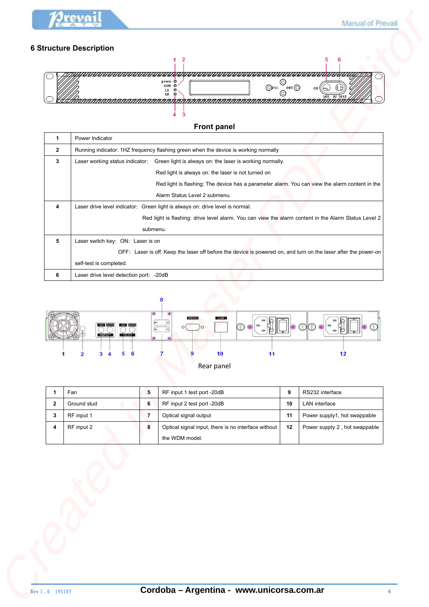

# **6 Structure Description**



# **Front panel**

|                                        |                                                          |                | power O<br>RUN <sub>O</sub><br>$Q$ <sub>ESC</sub>                                                                                               | $\circledcirc$<br>ENT | ON                            |
|----------------------------------------|----------------------------------------------------------|----------------|-------------------------------------------------------------------------------------------------------------------------------------------------|-----------------------|-------------------------------|
|                                        |                                                          |                | LD<br>$\circ$<br>RF<br>Θ<br>RRRRRRRRRRRRRRRRRRRRRRRRRRRRRRRRF                                                                                   |                       | OFF RF TEST                   |
|                                        |                                                          |                | $\overline{\mathbf{3}}$<br>4                                                                                                                    |                       |                               |
|                                        |                                                          |                | <b>Front panel</b>                                                                                                                              |                       |                               |
|                                        | Power Indicator                                          |                |                                                                                                                                                 |                       |                               |
|                                        | Laser working status indicator:                          |                | Running indicator: 1HZ frequency flashing green when the device is working normally<br>Green light is always on: the laser is working normally. |                       |                               |
|                                        |                                                          |                | Red light is always on: the laser is not turned on                                                                                              |                       |                               |
|                                        |                                                          |                | Red light is flashing: The device has a parameter alarm. You can view the alarm content in the                                                  |                       |                               |
|                                        |                                                          |                | Alarm Status Level 2 submenu.                                                                                                                   |                       |                               |
| 4                                      |                                                          |                | Laser drive level indicator: Green light is always on: drive level is normal.                                                                   |                       |                               |
|                                        |                                                          |                | Red light is flashing: drive level alarm. You can view the alarm content in the Alarm Status Level 2                                            |                       |                               |
| 5                                      | Laser switch key: ON: Laser is on                        | submenu.       |                                                                                                                                                 |                       |                               |
|                                        |                                                          |                | OFF: Laser is off. Keep the laser off before the device is powered on, and turn on the laser after the power-on                                 |                       |                               |
|                                        |                                                          |                |                                                                                                                                                 |                       |                               |
|                                        | self-test is completed.                                  |                |                                                                                                                                                 |                       |                               |
|                                        | Laser drive level detection port: - 20dB                 |                | LAN                                                                                                                                             |                       |                               |
| 6                                      | INPUT TEST                                               | ╔              |                                                                                                                                                 |                       |                               |
|                                        | 5<br>6<br>$\overline{2}$<br>3<br>$\overline{\mathbf{4}}$ |                | 11<br>10                                                                                                                                        |                       | 12                            |
|                                        |                                                          |                | Rear panel                                                                                                                                      |                       |                               |
|                                        | Fan                                                      | 5              | RF input 1 test port -20dB                                                                                                                      | 9                     | RS232 interface               |
|                                        | Ground stud                                              | 6              | RF input 2 test port -20dB                                                                                                                      | 10                    | LAN interface                 |
|                                        | RF input 1                                               | $\overline{7}$ | Optical signal output                                                                                                                           | 11                    | Power supply1, hot swappable  |
| $\mathbf{1}$<br>$\mathbf{2}$<br>3<br>4 | RF input 2                                               | 8              | Optical signal input, there is no interface without<br>the WDM model.                                                                           | 12                    | Power supply 2, hot swappable |



| Fan         | a. | RF input 1 test port -20dB                          | o  | RS232 interface               |
|-------------|----|-----------------------------------------------------|----|-------------------------------|
| Ground stud |    | RF input 2 test port -20dB                          | 10 | LAN interface                 |
| RF input 1  |    | Optical signal output                               | 11 | Power supply1, hot swappable  |
| RF input 2  | ۰  | Optical signal input, there is no interface without | 12 | Power supply 2, hot swappable |
|             |    | the WDM model.                                      |    |                               |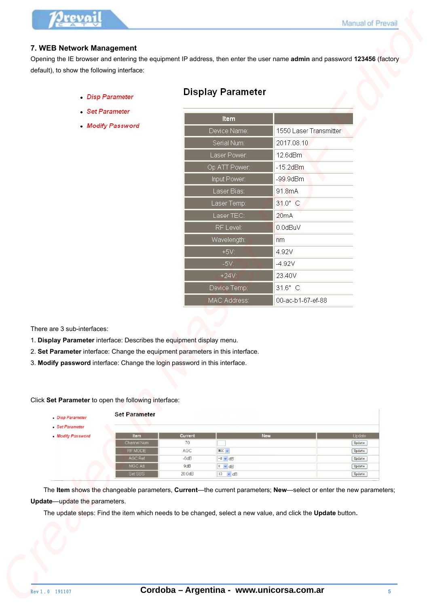## **7. WEB Network Management**

- 
- 
- 

|                                                 |                                                                              | <b>Display Parameter</b>                                                                                                                                                                                                              |                        |                  |
|-------------------------------------------------|------------------------------------------------------------------------------|---------------------------------------------------------------------------------------------------------------------------------------------------------------------------------------------------------------------------------------|------------------------|------------------|
|                                                 | <b>Disp Parameter</b>                                                        |                                                                                                                                                                                                                                       |                        |                  |
|                                                 | Set Parameter                                                                | Item                                                                                                                                                                                                                                  |                        |                  |
|                                                 | <b>Modify Password</b>                                                       | Device Name:                                                                                                                                                                                                                          | 1550 Laser Transmitter |                  |
|                                                 |                                                                              | Serial Num:                                                                                                                                                                                                                           | 2017.08.10             |                  |
|                                                 |                                                                              | Laser Power:                                                                                                                                                                                                                          | 12.6dBm                |                  |
|                                                 |                                                                              |                                                                                                                                                                                                                                       | $-15.2$ d $Bm$         |                  |
|                                                 |                                                                              | Op ATT Power:                                                                                                                                                                                                                         |                        |                  |
|                                                 |                                                                              | Input Power:                                                                                                                                                                                                                          | $-99.9$ d $Bm$         |                  |
|                                                 |                                                                              | Laser Bias:                                                                                                                                                                                                                           | 91.8mA                 |                  |
|                                                 |                                                                              | Laser Temp:                                                                                                                                                                                                                           | 31.0° C                |                  |
|                                                 |                                                                              | Laser TEC:                                                                                                                                                                                                                            | 20mA                   |                  |
|                                                 |                                                                              | RF Level:                                                                                                                                                                                                                             | 0.0dBuV                |                  |
|                                                 |                                                                              | Wavelength:                                                                                                                                                                                                                           | nm                     |                  |
|                                                 |                                                                              | $+5V$                                                                                                                                                                                                                                 | 4.92V                  |                  |
|                                                 |                                                                              | $-5V$                                                                                                                                                                                                                                 | $-4.92V$               |                  |
|                                                 |                                                                              | $+24V$                                                                                                                                                                                                                                | 23.40V                 |                  |
|                                                 |                                                                              | Device Temp:                                                                                                                                                                                                                          | 31.6° C                |                  |
|                                                 |                                                                              | MAC Address:                                                                                                                                                                                                                          | 00-ac-b1-67-ef-88      |                  |
|                                                 |                                                                              |                                                                                                                                                                                                                                       |                        |                  |
| There are 3 sub-interfaces:<br>· Disp Parameter | Click Set Parameter to open the following interface:<br><b>Set Parameter</b> | 1. Display Parameter interface: Describes the equipment display menu.<br>2. Set Parameter interface: Change the equipment parameters in this interface.<br>3. Modify password interface: Change the login password in this interface. |                        |                  |
| • Set Parameter                                 |                                                                              |                                                                                                                                                                                                                                       |                        |                  |
| Modify Password                                 | Item<br>Channel Num                                                          | Current<br>70                                                                                                                                                                                                                         | New                    | Update<br>Update |
|                                                 | RF MODE                                                                      | AGC<br>$MGC \sim$                                                                                                                                                                                                                     |                        | Update           |
|                                                 | <b>AGC Ref</b><br>MGC Att<br>Set SBS                                         | $-6dB$<br>$-8$ $\times$ dB<br>9dB<br>$0 - dB$                                                                                                                                                                                         |                        | Update<br>Update |

- 1. **Display Parameter** interface: Describes the equipment display menu.
- 2. **Set Parameter** interface: Change the equipment parameters in this interface.
- 3. **Modify password** interface: Change the login password in this interface.

| · Disp Parameter                     | <b>Set Parameter</b> |         |                |                |
|--------------------------------------|----------------------|---------|----------------|----------------|
| · Set Parameter<br>. Modify Password | <b>Item</b>          | Current | <b>New</b>     | Update         |
|                                      | Channel Num          | 70      |                | ${\tt Update}$ |
|                                      | RF MODE              | AGC     | MGC ~ ~ ~      | Update         |
|                                      | AGC Ref              | $-6dB$  | $-8 - dB$      | Update         |
|                                      | MGC Att              | 9dB     | $0 - dB$       | Update         |
|                                      | Set SBS              | 20.0dB  | $13 \times dB$ | Update         |